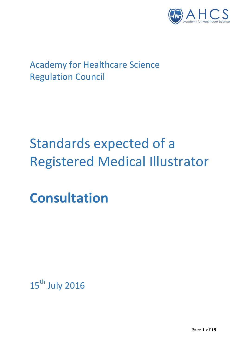

# **Academy for Healthcare Science Regulation Council**

# Standards expected of a Registered Medical Illustrator

**Consultation**

15<sup>th</sup> July 2016

Page **1** of **19**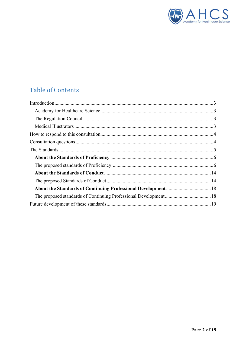

# **Table of Contents**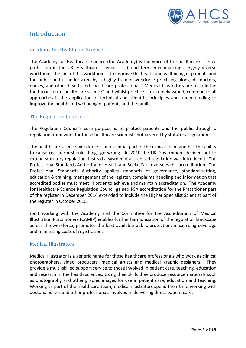

# Introduction

### **Academy for Healthcare Science**

The Academy for Healthcare Science (the Academy) is the voice of the healthcare science profession in the UK. Healthcare science is a broad term encompassing a highly diverse workforce. The aim of this workforce is to improve the health and well-being of patients and the public and is undertaken by a highly trained workforce practising alongside doctors, nurses, and other health and social care professionals. Medical Illustrators are included in the broad term "healthcare science" and whilst practice is extremely varied, common to all approaches is the application of technical and scientific principles and understanding to improve the health and wellbeing of patients and the public.

### The Regulation Council

The Regulation Council's core purpose is to protect patients and the public through a regulation framework for those healthcare scientists not covered by statutory regulation.

The healthcare science workforce is an essential part of the clinical team and has the ability to cause real harm should things go wrong. In 2010 the UK Government decided not to extend statutory regulation, instead a system of accredited regulation was introduced. The Professional Standards Authority for Health and Social Care oversees this accreditation. The Professional Standards Authority applies standards of governance, standard-setting, education & training, management of the register, complaints handling and information that accredited bodies must meet in order to achieve and maintain accreditation. The Academy for Healthcare Science Regulation Council gained PSA accreditation for the Practitioner part of the register in December 2014 extended to include the Higher Specialist Scientist part of the register in October 2015.

Joint working with the Academy and the Committee for the Accreditation of Medical Illustration Practitioners (CAMIP) enables further harmonisation of the regulation landscape across the workforce, promotes the best available public protection, maximising coverage and minimising costs of registration.

#### Medical Illustrators

Medical Illustrator is a generic name for those healthcare professionals who work as clinical photographers, video producers, medical artists and medical graphic designers. They provide a multi-skilled support service to those involved in patient care, teaching, education and research in the health sciences. Using their skills they produce resource materials such as photography and other graphic images for use in patient care, education and teaching. Working as part of the healthcare team, medical illustrators spend their time working with doctors, nurses and other professionals involved in delivering direct patient care.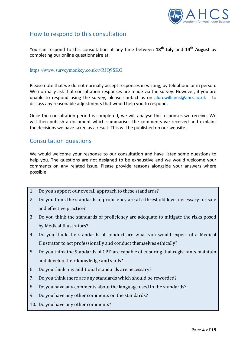

# How to respond to this consultation

You can respond to this consultation at any time between  $18^{th}$  July and  $14^{th}$  August by completing our online questionnaire at:

#### https://www.surveymonkey.co.uk/r/RJQ9SKG

Please note that we do not normally accept responses in writing, by telephone or in person. We normally ask that consultation responses are made via the survey. However, if you are unable to respond using the survey, please contact us on alun.williams@ahcs.ac.uk to discuss any reasonable adjustments that would help you to respond.

Once the consultation period is completed, we will analyse the responses we receive. We will then publish a document which summarises the comments we received and explains the decisions we have taken as a result. This will be published on our website.

# **Consultation questions**

We would welcome your response to our consultation and have listed some questions to help you. The questions are not designed to be exhaustive and we would welcome your comments on any related issue. Please provide reasons alongside your answers where possible:

- 1. Do you support our overall approach to these standards?
- 2. Do you think the standards of proficiency are at a threshold level necessary for safe and effective practice?
- 3. Do you think the standards of proficiency are adequate to mitigate the risks posed by Medical Illustrators?
- 4. Do you think the standards of conduct are what you would expect of a Medical Illustrator to act professionally and conduct themselves ethically?
- 5. Do you think the Standards of CPD are capable of ensuring that registrants maintain and develop their knowledge and skills?
- 6. Do you think any additional standards are necessary?
- 7. Do you think there are any standards which should be reworded?
- 8. Do you have any comments about the language used in the standards?
- 9. Do you have any other comments on the standards?
- 10. Do you have any other comments?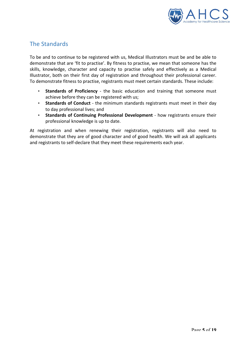

# The Standards

To be and to continue to be registered with us, Medical Illustrators must be and be able to demonstrate that are 'fit to practise'. By fitness to practise, we mean that someone has the skills, knowledge, character and capacity to practise safely and effectively as a Medical Illustrator, both on their first day of registration and throughout their professional career. To demonstrate fitness to practise, registrants must meet certain standards. These include:

- **Standards of Proficiency** the basic education and training that someone must achieve before they can be registered with us;
- Standards of Conduct the minimum standards registrants must meet in their day to day professional lives; and
- Standards of Continuing Professional Development how registrants ensure their professional knowledge is up to date.

At registration and when renewing their registration, registrants will also need to demonstrate that they are of good character and of good health. We will ask all applicants and registrants to self-declare that they meet these requirements each year.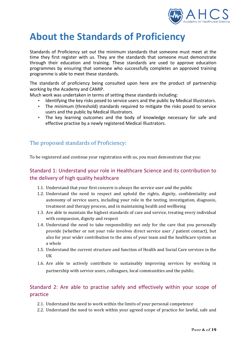

# **About the Standards of Proficiency**

Standards of Proficiency set out the minimum standards that someone must meet at the time they first register with us. They are the standards that someone must demonstrate through their education and training. These standards are used to approve education programmes by ensuring that someone who successfully completes an approved training programme is able to meet these standards.

The standards of proficiency being consulted upon here are the product of partnership working by the Academy and CAMIP.

Much work was undertaken in terms of setting these standards including:

- Identifying the key risks posed to service users and the public by Medical Illustrators.
- The minimum (threshold) standards required to mitigate the risks posed to service users and the public by Medical Illustrators.
- The key learning outcomes and the body of knowledge necessary for safe and effective practise by a newly registered Medical Illustrators.

# The proposed standards of Proficiency:

To be registered and continue your registration with us, you must demonstrate that you:

## Standard 1: Understand your role in Healthcare Science and its contribution to the delivery of high quality healthcare

- 1.1. Understand that your first concern is always the service user and the public
- 1.2. Understand the need to respect and uphold the rights, dignity, confidentiality and autonomy of service users, including your role in the testing, investigation, diagnosis, treatment and therapy process, and in maintaining health and wellbeing
- 1.3. Are able to maintain the highest standards of care and service, treating every individual with compassion, dignity and respect
- 1.4. Understand the need to take responsibility not only for the care that you personally provide (whether or not your role involves direct service user / patient contact), but also for your wider contribution to the aims of your team and the healthcare system as a whole
- 1.5. Understand the current structure and function of Health and Social Care services in the **IIK**
- 1.6. Are able to actively contribute to sustainably improving services by working in partnership with service users, colleagues, local communities and the public.

# Standard 2: Are able to practise safely and effectively within your scope of practice

- 2.1. Understand the need to work within the limits of your personal competence
- 2.2. Understand the need to work within your agreed scope of practice for lawful, safe and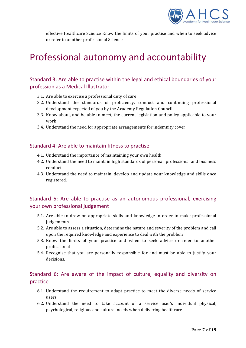

effective Healthcare Science Know the limits of your practise and when to seek advice or refer to another professional Science

# Professional autonomy and accountability

## Standard 3: Are able to practise within the legal and ethical boundaries of your profession as a Medical Illustrator

- 3.1. Are able to exercise a professional duty of care
- 3.2. Understand the standards of proficiency, conduct and continuing professional development expected of you by the Academy Regulation Council
- 3.3. Know about, and be able to meet, the current legislation and policy applicable to your work
- 3.4. Understand the need for appropriate arrangements for indemnity cover

#### Standard 4: Are able to maintain fitness to practise

- 4.1. Understand the importance of maintaining your own health
- 4.2. Understand the need to maintain high standards of personal, professional and business conduct
- 4.3. Understand the need to maintain, develop and update your knowledge and skills once registered.

### Standard 5: Are able to practise as an autonomous professional, exercising your own professional judgement

- 5.1. Are able to draw on appropriate skills and knowledge in order to make professional judgements
- 5.2. Are able to assess a situation, determine the nature and severity of the problem and call upon the required knowledge and experience to deal with the problem
- 5.3. Know the limits of your practice and when to seek advice or refer to another professional
- 5.4. Recognise that you are personally responsible for and must be able to justify your decisions.

# Standard 6: Are aware of the impact of culture, equality and diversity on practice

- 6.1. Understand the requirement to adapt practice to meet the diverse needs of service users
- 6.2. Understand the need to take account of a service user's individual physical, psychological, religious and cultural needs when delivering healthcare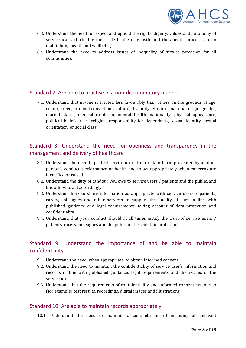

- 6.3. Understand the need to respect and uphold the rights, dignity, values and autonomy of service users (including their role in the diagnostic and therapeutic process and in maintaining health and wellbeing)
- 6.4. Understand the need to address issues of inequality of service provision for all communities.

#### Standard 7: Are able to practise in a non-discriminatory manner

7.1. Understand that no-one is treated less favourably than others on the grounds of age, colour, creed, criminal convictions, culture, disability, ethnic or national origin, gender, marital status, medical condition, mental health, nationality, physical appearance, political beliefs, race, religion, responsibility for dependants, sexual identity, sexual orientation, or social class.

# Standard 8: Understand the need for openness and transparency in the management and delivery of healthcare

- 8.1. Understand the need to protect service users from risk or harm presented by another person's conduct, performance or health and to act appropriately when concerns are identified or raised
- 8.2. Understand the duty of candour you owe to service users / patients and the public, and know how to act accordingly
- 8.3. Understand how to share information as appropriate with service users / patients, carers, colleagues and other services to support the quality of care in line with published guidance and legal requirements, taking account of data protection and confidentiality
- 8.4. Understand that your conduct should at all times justify the trust of service users / patients, carers, colleagues and the public in the scientific profession

# Standard 9: Understand the importance of and be able to maintain confidentiality

- 9.1. Understand the need, when appropriate, to obtain informed consent
- 9.2. Understand the need to maintain the confidentiality of service user's information and records in line with published guidance, legal requirements and the wishes of the service user
- 9.3. Understand that the requirements of confidentiality and informed consent extends to (for example) test results, recordings, digital images and illustrations.

#### Standard 10: Are able to maintain records appropriately

10.1. Understand the need to maintain a complete record including all relevant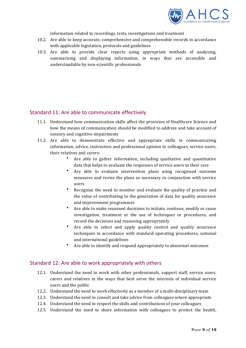

information related to recordings, tests, investigations and treatment

- 10.2. Are able to keep accurate, comprehensive and comprehensible records in accordance with applicable legislation, protocols and guidelines
- 10.3. Are able to provide clear reports using appropriate methods of analysing, summarising and displaying information, in ways that are accessible and understandable by non-scientific professionals

### Standard 11: Are able to communicate effectively

- 11.1. Understand how communication skills affect the provision of Healthcare Science and how the means of communication should be modified to address and take account of sensory and cognitive impairments
- 11.2. Are able to demonstrate effective and appropriate skills in communicating information, advice, instruction and professional opinion to colleagues, service users, their relatives and carers:
	- Are able to gather information, including qualitative and quantitative data that helps to evaluate the responses of service users to their care
	- Are able to evaluate intervention plans using recognised outcome measures and revise the plans as necessary in conjunction with service users
	- Recognise the need to monitor and evaluate the quality of practice and the value of contributing to the generation of data for quality assurance and improvement programmes
	- Are able to make reasoned decisions to initiate, continue, modify or cease investigation, treatment or the use of techniques or procedures, and record the decisions and reasoning appropriately
	- Are able to select and apply quality control and quality assurance techniques in accordance with standard operating procedures, national and international guidelines
	- Are able to identify and respond appropriately to abnormal outcomes

#### Standard 12: Are able to work appropriately with others

- 12.1. Understand the need to work with other professionals, support staff, service users, carers and relatives in the ways that best serve the interests of individual service users and the public
- 12.2. Understand the need to work effectively as a member of a multi-disciplinary team
- 12.3. Understand the need to consult and take advice from colleagues where appropriate
- 12.4. Understand the need to respect the skills and contributions of your colleagues
- 12.5. Understand the need to share information with colleagues to protect the health,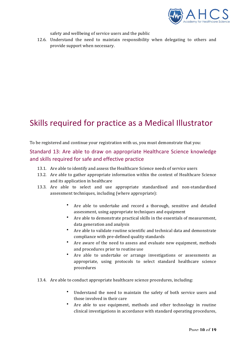

safety and wellbeing of service users and the public

12.6. Understand the need to maintain responsibility when delegating to others and provide support when necessary.

# Skills required for practice as a Medical Illustrator

To be registered and continue your registration with us, you must demonstrate that you:

Standard 13: Are able to draw on appropriate Healthcare Science knowledge and skills required for safe and effective practice

- 13.1. Are able to identify and assess the Healthcare Science needs of service users
- 13.2. Are able to gather appropriate information within the context of Healthcare Science and its application in healthcare
- 13.3. Are able to select and use appropriate standardised and non-standardised assessment techniques, including (where appropriate):
	- Are able to undertake and record a thorough, sensitive and detailed assessment, using appropriate techniques and equipment
	- Are able to demonstrate practical skills in the essentials of measurement, data generation and analysis
	- Are able to validate routine scientific and technical data and demonstrate compliance with pre-defined quality standards
	- Are aware of the need to assess and evaluate new equipment, methods and procedures prior to routine use
	- Are able to undertake or arrange investigations or assessments as appropriate, using protocols to select standard healthcare science procedures
- 13.4. Are able to conduct appropriate healthcare science procedures, including:
	- Understand the need to maintain the safety of both service users and those involved in their care
	- Are able to use equipment, methods and other technology in routine clinical investigations in accordance with standard operating procedures,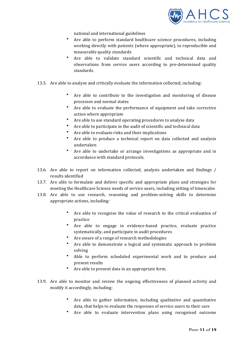

national and international guidelines

- Are able to perform standard healthcare science procedures, including working directly with patients (where appropriate), to reproducible and measurable quality standards
- Are able to validate standard scientific and technical data and observations from service users according to pre-determined quality standards.
- 13.5. Are able to analyse and critically evaluate the information collected, including:
	- Are able to contribute to the investigation and monitoring of disease processes and normal states
	- Are able to evaluate the performance of equipment and take corrective action where appropriate
	- Are able to use standard operating procedures to analyse data
	- Are able to participate in the audit of scientific and technical data
	- Are able to evaluate risks and their implications
	- Are able to produce a technical report on data collected and analysis undertaken
	- Are able to undertake or arrange investigations as appropriate and in accordance with standard protocols.
- 13.6. Are able to report on information collected, analysis undertaken and findings / results identified
- 13.7. Are able to formulate and deliver specific and appropriate plans and strategies for meeting the Healthcare Science needs of service users, including setting of timescales
- 13.8. Are able to use research, reasoning and problem-solving skills to determine appropriate actions, including:
	- Are able to recognise the value of research to the critical evaluation of practice
	- Are able to engage in evidence-based practice, evaluate practice systematically, and participate in audit procedures
	- Are aware of a range of research methodologies
	- Are able to demonstrate a logical and systematic approach to problem solving
	- Able to perform scheduled experimental work and to produce and present results
	- Are able to present data in an appropriate form.
- 13.9. Are able to monitor and review the ongoing effectiveness of planned activity and modify it accordingly, including:
	- Are able to gather information, including qualitative and quantitative data, that helps to evaluate the responses of service users to their care
	- Are able to evaluate intervention plans using recognised outcome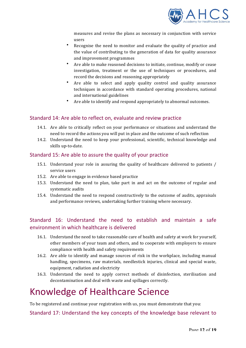

measures and revise the plans as necessary in conjunction with service users 

- Recognise the need to monitor and evaluate the quality of practice and the value of contributing to the generation of data for quality assurance and improvement programmes
- Are able to make reasoned decisions to initiate, continue, modify or cease investigation, treatment or the use of techniques or procedures, and record the decisions and reasoning appropriately
- Are able to select and apply quality control and quality assurance techniques in accordance with standard operating procedures, national and international guidelines
- Are able to identify and respond appropriately to abnormal outcomes.

### Standard 14: Are able to reflect on, evaluate and review practice

- 14.1. Are able to critically reflect on your performance or situations and understand the need to record the actions you will put in place and the outcome of such reflection
- 14.2. Understand the need to keep your professional, scientific, technical knowledge and skills up-to-date.

#### Standard 15: Are able to assure the quality of your practice

- 15.1. Understand your role in assuring the quality of healthcare delivered to patients / service users
- 15.2. Are able to engage in evidence based practice
- 15.3. Understand the need to plan, take part in and act on the outcome of regular and systematic audits
- 15.4. Understand the need to respond constructively to the outcome of audits, appraisals and performance reviews, undertaking further training where necessary.

# Standard 16: Understand the need to establish and maintain a safe environment in which healthcare is delivered

- 16.1. Understand the need to take reasonable care of health and safety at work for yourself, other members of your team and others, and to cooperate with employers to ensure compliance with health and safety requirements
- 16.2. Are able to identify and manage sources of risk in the workplace, including manual handling, specimens, raw materials, needlestick injuries, clinical and special waste, equipment, radiation and electricity
- 16.3. Understand the need to apply correct methods of disinfection, sterilisation and decontamination and deal with waste and spillages correctly.

# Knowledge of Healthcare Science

To be registered and continue your registration with us, you must demonstrate that you:

Standard 17: Understand the key concepts of the knowledge base relevant to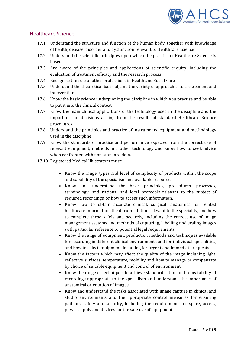

### Healthcare Science

- 17.1. Understand the structure and function of the human body, together with knowledge of health, disease, disorder and dysfunction relevant to Healthcare Science
- 17.2. Understand the scientific principles upon which the practice of Healthcare Science is based
- 17.3. Are aware of the principles and applications of scientific enquiry, including the evaluation of treatment efficacy and the research process
- 17.4. Recognise the role of other professions in Health and Social Care
- 17.5. Understand the theoretical basis of, and the variety of approaches to, assessment and intervention
- 17.6. Know the basic science underpinning the discipline in which you practise and be able to put it into the clinical context
- 17.7. Know the main clinical applications of the technology used in the discipline and the importance of decisions arising from the results of standard Healthcare Science procedures
- 17.8. Understand the principles and practice of instruments, equipment and methodology used in the discipline
- 17.9. Know the standards of practice and performance expected from the correct use of relevant equipment, methods and other technology and know how to seek advice when confronted with non-standard data.
- 17.10. Registered Medical Illustrators must:
	- Know the range, types and level of complexity of products within the scope and capability of the specialism and available resources.
	- Know and understand the basic principles, procedures, processes, terminology, and national and local protocols relevant to the subject of required recordings, or how to access such information.
	- Know how to obtain accurate clinical, surgical, anatomical or related healthcare information, the documentation relevant to the speciality, and how to complete these safely and securely, including the correct use of image management systems and methods of capturing, labelling and scaling images with particular reference to potential legal requirements.
	- Know the range of equipment, production methods and techniques available for recording in different clinical environments and for individual specialities, and how to select equipment, including for urgent and immediate requests.
	- Know the factors which may affect the quality of the image including light, reflective surfaces, temperature, mobility and how to manage or compensate by choice of suitable equipment and control of environment.
	- Know the range of techniques to achieve standardisation and repeatability of recordings appropriate to the specialism and understand the importance of anatomical orientation of images.
	- Know and understand the risks associated with image capture in clinical and studio environments and the appropriate control measures for ensuring patients' safety and security, including the requirements for space, access, power supply and devices for the safe use of equipment.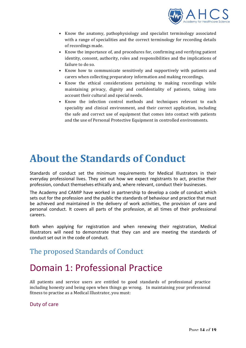

- Know the anatomy, pathophysiology and specialist terminology associated with a range of specialities and the correct terminology for recording details of recordings made.
- Know the importance of, and procedures for, confirming and verifying patient identity, consent, authority, roles and responsibilities and the implications of failure to do so.
- Know how to communicate sensitively and supportively with patients and carers when collecting preparatory information and making recordings.
- Know the ethical considerations pertaining to making recordings while maintaining privacy, dignity and confidentiality of patients, taking into account their cultural and special needs.
- Know the infection control methods and techniques relevant to each speciality and clinical environment, and their correct application, including the safe and correct use of equipment that comes into contact with patients and the use of Personal Protective Equipment in controlled environments.

# **About the Standards of Conduct**

Standards of conduct set the minimum requirements for Medical Illustrators in their everyday professional lives. They set out how we expect registrants to act, practise their profession, conduct themselves ethically and, where relevant, conduct their businesses.

The Academy and CAMIP have worked in partnership to develop a code of conduct which sets out for the profession and the public the standards of behaviour and practice that must be achieved and maintained in the delivery of work activities, the provision of care and personal conduct. It covers all parts of the profession, at all times of their professional careers. 

Both when applying for registration and when renewing their registration, Medical Illustrators will need to demonstrate that they can and are meeting the standards of conduct set out in the code of conduct*.*

# The proposed Standards of Conduct

# Domain 1: Professional Practice

All patients and service users are entitled to good standards of professional practice including honesty and being open when things go wrong. In maintaining your professional fitness to practise as a Medical Illustrator, you must:

### Duty of care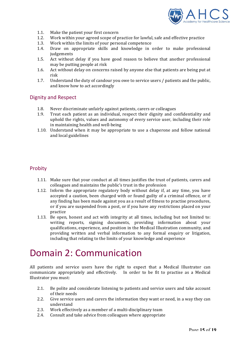

- 1.1. Make the patient your first concern
- 1.2. Work within your agreed scope of practice for lawful, safe and effective practice
- 1.3. Work within the limits of your personal competence
- 1.4. Draw on appropriate skills and knowledge in order to make professional judgements
- 1.5. Act without delay if you have good reason to believe that another professional may be putting people at risk
- 1.6. Act without delay on concerns raised by anyone else that patients are being put at risk
- 1.7. Understand the duty of candour you owe to service users / patients and the public, and know how to act accordingly

#### Dignity and Respect

- 1.8. Never discriminate unfairly against patients, carers or colleagues
- 1.9. Treat each patient as an individual, respect their dignity and confidentiality and uphold the rights, values and autonomy of every service user, including their role in maintaining health and well-being
- 1.10. Understand when it may be appropriate to use a chaperone and follow national and local guidelines

#### Probity

- 1.11. Make sure that your conduct at all times justifies the trust of patients, carers and colleagues and maintains the public's trust in the profession
- 1.12. Inform the appropriate regulatory body without delay if, at any time, you have accepted a caution, been charged with or found guilty of a criminal offence, or if any finding has been made against you as a result of fitness to practise procedures, or if you are suspended from a post, or if you have any restrictions placed on your practice
- 1.13. Be open, honest and act with integrity at all times, including but not limited to: writing reports, signing documents, providing information about your qualifications, experience, and position in the Medical Illustration community, and providing written and verbal information to any formal enquiry or litigation, including that relating to the limits of your knowledge and experience

# Domain 2: Communication

All patients and service users have the right to expect that a Medical Illustrator can communicate appropriately and effectively. In order to be fit to practise as a Medical Illustrator you must:

- 2.1. Be polite and considerate listening to patients and service users and take account of their needs
- 2.2. Give service users and carers the information they want or need, in a way they can understand
- 2.3. Work effectively as a member of a multi-disciplinary team
- 2.4. Consult and take advice from colleagues where appropriate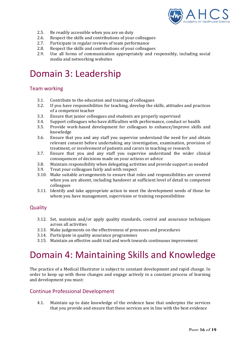

- 2.5. Be readily accessible when you are on duty
- 2.6. Respect the skills and contributions of your colleagues
- 2.7. Participate in regular reviews of team performance
- 2.8. Respect the skills and contributions of your colleagues
- 2.9. Use all forms of communication appropriately and responsibly, including social media and networking websites

# Domain 3: Leadership

### Team working

- 3.1. Contribute to the education and training of colleagues
- 3.2. If you have responsibilities for teaching, develop the skills, attitudes and practices of a competent teacher
- 3.3. Ensure that junior colleagues and students are properly supervised
- 3.4. Support colleagues who have difficulties with performance, conduct or health
- 3.5. Provide work-based development for colleagues to enhance/improve skills and knowledge
- 3.6. Ensure that you and any staff you supervise understand the need for and obtain relevant consent before undertaking any investigation, examination, provision of treatment, or involvement of patients and carers in teaching or research
- 3.7. Ensure that you and any staff you supervise understand the wider clinical consequences of decisions made on your actions or advice
- 3.8. Maintain responsibility when delegating activities and provide support as needed
- 3.9. Treat your colleagues fairly and with respect
- 3.10. Make suitable arrangements to ensure that roles and responsibilities are covered when you are absent, including handover at sufficient level of detail to competent colleagues
- 3.11. Identify and take appropriate action to meet the development needs of those for whom you have management, supervision or training responsibilities

### **Quality**

- 3.12. Set, maintain and/or apply quality standards, control and assurance techniques across all activities
- 3.13. Make judgements on the effectiveness of processes and procedures
- 3.14. Participate in quality assurance programmes
- 3.15. Maintain an effective audit trail and work towards continuous improvement

# Domain 4: Maintaining Skills and Knowledge

The practice of a Medical Illustrator is subject to constant development and rapid change. In order to keep up with these changes and engage actively in a constant process of learning and development you must:

#### Continue Professional Development

4.1. Maintain up to date knowledge of the evidence base that underpins the services that you provide and ensure that these services are in line with the best evidence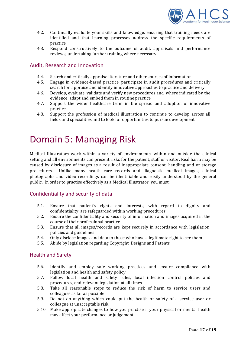

- 4.2. Continually evaluate your skills and knowledge, ensuring that training needs are identified and that learning processes address the specific requirements of practice
- 4.3. Respond constructively to the outcome of audit, appraisals and performance reviews, undertaking further training where necessary

#### Audit, Research and Innovation

- 4.4. Search and critically appraise literature and other sources of information
- 4.5. Engage in evidence-based practice, participate in audit procedures and critically search for, appraise and identify innovative approaches to practice and delivery
- 4.6. Develop, evaluate, validate and verify new procedures and, where indicated by the evidence, adapt and embed them in routine practice
- 4.7. Support the wider healthcare team in the spread and adoption of innovative practice
- 4.8. Support the profession of medical illustration to continue to develop across all fields and specialities and to look for opportunities to pursue development

# Domain 5: Managing Risk

Medical Illustrators work within a variety of environments, within and outside the clinical setting and all environments can present risks for the patient, staff or visitor. Real harm may be caused by disclosure of images as a result of inappropriate consent, handling and or storage procedures. Unlike many health care records and diagnostic medical images, clinical photographs and video recordings can be identifiable and easily understood by the general public. In order to practise effectively as a Medical Illustrator, you must:

#### Confidentiality and security of data

- 5.1. Ensure that patient's rights and interests, with regard to dignity and confidentiality, are safeguarded within working procedures
- 5.2. Ensure the confidentiality and security of information and images acquired in the course of their professional practice
- 5.3. Ensure that all images/records are kept securely in accordance with legislation, policies and guidelines
- 5.4. Only disclose images and data to those who have a legitimate right to see them
- 5.5. Abide by legislation regarding Copyright, Designs and Patents

#### Health and Safety

- 5.6. Identify and employ safe working practices and ensure compliance with legislation and health and safety policy
- 5.7. Follow local health and safety rules, local infection control policies and procedures, and relevant legislation at all times
- 5.8. Take all reasonable steps to reduce the risk of harm to service users and colleagues as far as possible
- 5.9. Do not do anything which could put the health or safety of a service user or colleague at unacceptable risk
- 5.10. Make appropriate changes to how you practise if your physical or mental health may affect your performance or judgement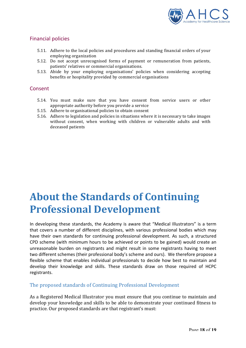

### Financial policies

- 5.11. Adhere to the local policies and procedures and standing financial orders of your employing organization
- 5.12. Do not accept unrecognised forms of payment or remuneration from patients, patients' relatives or commercial organisations.
- 5.13. Abide by your employing organisations' policies when considering accepting benefits or hospitality provided by commercial organisations

#### Consent

- 5.14. You must make sure that you have consent from service users or other appropriate authority before you provide a service
- 5.15. Adhere to organisational policies to obtain consent
- 5.16. Adhere to legislation and policies in situations where it is necessary to take images without consent, when working with children or vulnerable adults and with deceased patients

# **About the Standards of Continuing Professional Development**

In developing these standards, the Academy is aware that "Medical Illustrators" is a term that covers a number of different disciplines, with various professional bodies which may have their own standards for continuing professional development. As such, a structured CPD scheme (with minimum hours to be achieved or points to be gained) would create an unreasonable burden on registrants and might result in some registrants having to meet two different schemes (their professional body's scheme and ours). We therefore propose a flexible scheme that enables individual professionals to decide how best to maintain and develop their knowledge and skills. These standards draw on those required of HCPC registrants.

#### The proposed standards of Continuing Professional Development

As a Registered Medical Illustrator you must ensure that you continue to maintain and develop your knowledge and skills to be able to demonstrate your continued fitness to practice. Our proposed standards are that registrant's must: